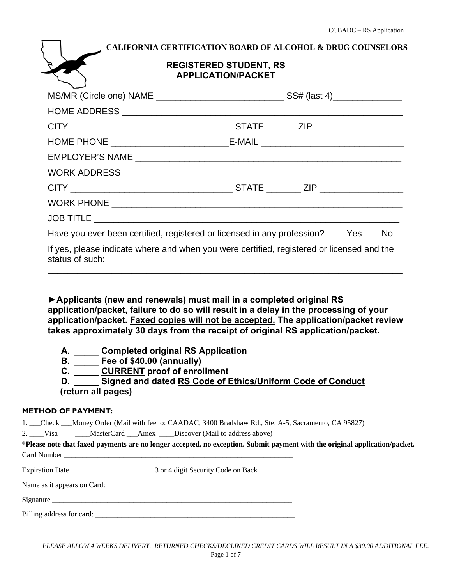| CALIFORNIA CERTIFICATION BOARD OF ALCOHOL & DRUG COUNSELORS<br><b>REGISTERED STUDENT, RS</b><br><b>APPLICATION/PACKET</b>                                                                                                                                                                                                                                                                                                                                           |                                                            |  |  |
|---------------------------------------------------------------------------------------------------------------------------------------------------------------------------------------------------------------------------------------------------------------------------------------------------------------------------------------------------------------------------------------------------------------------------------------------------------------------|------------------------------------------------------------|--|--|
|                                                                                                                                                                                                                                                                                                                                                                                                                                                                     |                                                            |  |  |
|                                                                                                                                                                                                                                                                                                                                                                                                                                                                     |                                                            |  |  |
|                                                                                                                                                                                                                                                                                                                                                                                                                                                                     |                                                            |  |  |
|                                                                                                                                                                                                                                                                                                                                                                                                                                                                     |                                                            |  |  |
|                                                                                                                                                                                                                                                                                                                                                                                                                                                                     |                                                            |  |  |
|                                                                                                                                                                                                                                                                                                                                                                                                                                                                     |                                                            |  |  |
|                                                                                                                                                                                                                                                                                                                                                                                                                                                                     |                                                            |  |  |
|                                                                                                                                                                                                                                                                                                                                                                                                                                                                     |                                                            |  |  |
|                                                                                                                                                                                                                                                                                                                                                                                                                                                                     |                                                            |  |  |
| Have you ever been certified, registered or licensed in any profession? __ Yes __ No                                                                                                                                                                                                                                                                                                                                                                                |                                                            |  |  |
| If yes, please indicate where and when you were certified, registered or licensed and the<br>status of such:                                                                                                                                                                                                                                                                                                                                                        |                                                            |  |  |
| Applicants (new and renewals) must mail in a completed original RS<br>application/packet, failure to do so will result in a delay in the processing of your<br>application/packet. Faxed copies will not be accepted. The application/packet review<br>takes approximately 30 days from the receipt of original RS application/packet.<br>A. Completed original RS Application<br><b>B.</b> _____ Fee of \$40.00 (annually)<br>C. CURRENT proof of enrollment<br>D. | Signed and dated RS Code of Ethics/Uniform Code of Conduct |  |  |

## **(return all pages)**

#### **METHOD OF PAYMENT:**

1. \_\_\_Check \_\_\_Money Order (Mail with fee to: CAADAC, 3400 Bradshaw Rd., Ste. A-5, Sacramento, CA 95827)

2. Visa MasterCard Amex Discover (Mail to address above)

| *Please note that faxed payments are no longer accepted, no exception. Submit payment with the original application/packet. |                                    |  |
|-----------------------------------------------------------------------------------------------------------------------------|------------------------------------|--|
|                                                                                                                             |                                    |  |
| Expiration Date                                                                                                             | 3 or 4 digit Security Code on Back |  |
|                                                                                                                             |                                    |  |
|                                                                                                                             |                                    |  |
|                                                                                                                             | Billing address for card:          |  |

*PLEASE ALLOW 4 WEEKS DELIVERY. RETURNED CHECKS/DECLINED CREDIT CARDS WILL RESULT IN A \$30.00 ADDITIONAL FEE.*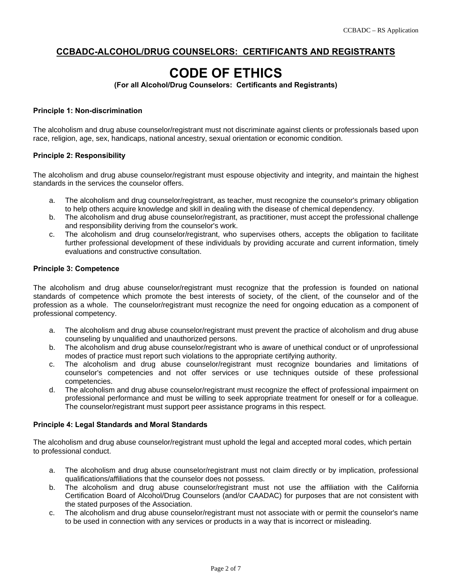### **CCBADC-ALCOHOL/DRUG COUNSELORS: CERTIFICANTS AND REGISTRANTS**

# **CODE OF ETHICS**

**(For all Alcohol/Drug Counselors: Certificants and Registrants)** 

#### **Principle 1: Non-discrimination**

The alcoholism and drug abuse counselor/registrant must not discriminate against clients or professionals based upon race, religion, age, sex, handicaps, national ancestry, sexual orientation or economic condition.

#### **Principle 2: Responsibility**

The alcoholism and drug abuse counselor/registrant must espouse objectivity and integrity, and maintain the highest standards in the services the counselor offers.

- a. The alcoholism and drug counselor/registrant, as teacher, must recognize the counselor's primary obligation to help others acquire knowledge and skill in dealing with the disease of chemical dependency.
- b. The alcoholism and drug abuse counselor/registrant, as practitioner, must accept the professional challenge and responsibility deriving from the counselor's work.
- c. The alcoholism and drug counselor/registrant, who supervises others, accepts the obligation to facilitate further professional development of these individuals by providing accurate and current information, timely evaluations and constructive consultation.

#### **Principle 3: Competence**

The alcoholism and drug abuse counselor/registrant must recognize that the profession is founded on national standards of competence which promote the best interests of society, of the client, of the counselor and of the profession as a whole. The counselor/registrant must recognize the need for ongoing education as a component of professional competency.

- a. The alcoholism and drug abuse counselor/registrant must prevent the practice of alcoholism and drug abuse counseling by unqualified and unauthorized persons.
- b. The alcoholism and drug abuse counselor/registrant who is aware of unethical conduct or of unprofessional modes of practice must report such violations to the appropriate certifying authority.
- c. The alcoholism and drug abuse counselor/registrant must recognize boundaries and limitations of counselor's competencies and not offer services or use techniques outside of these professional competencies.
- d. The alcoholism and drug abuse counselor/registrant must recognize the effect of professional impairment on professional performance and must be willing to seek appropriate treatment for oneself or for a colleague. The counselor/registrant must support peer assistance programs in this respect.

#### **Principle 4: Legal Standards and Moral Standards**

The alcoholism and drug abuse counselor/registrant must uphold the legal and accepted moral codes, which pertain to professional conduct.

- a. The alcoholism and drug abuse counselor/registrant must not claim directly or by implication, professional qualifications/affiliations that the counselor does not possess.
- b. The alcoholism and drug abuse counselor/registrant must not use the affiliation with the California Certification Board of Alcohol/Drug Counselors (and/or CAADAC) for purposes that are not consistent with the stated purposes of the Association.
- c. The alcoholism and drug abuse counselor/registrant must not associate with or permit the counselor's name to be used in connection with any services or products in a way that is incorrect or misleading.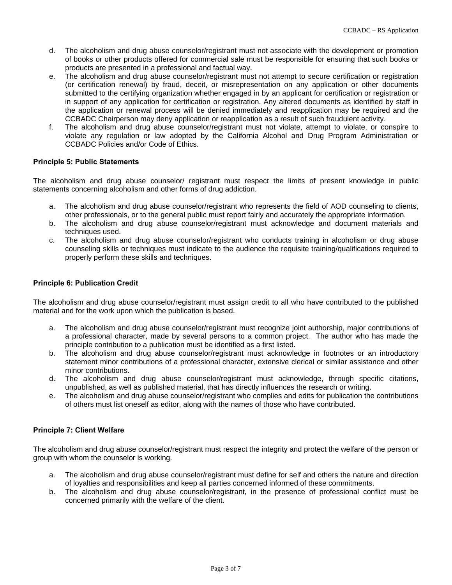- d. The alcoholism and drug abuse counselor/registrant must not associate with the development or promotion of books or other products offered for commercial sale must be responsible for ensuring that such books or products are presented in a professional and factual way.
- e. The alcoholism and drug abuse counselor/registrant must not attempt to secure certification or registration (or certification renewal) by fraud, deceit, or misrepresentation on any application or other documents submitted to the certifying organization whether engaged in by an applicant for certification or registration or in support of any application for certification or registration. Any altered documents as identified by staff in the application or renewal process will be denied immediately and reapplication may be required and the CCBADC Chairperson may deny application or reapplication as a result of such fraudulent activity.
- f. The alcoholism and drug abuse counselor/registrant must not violate, attempt to violate, or conspire to violate any regulation or law adopted by the California Alcohol and Drug Program Administration or CCBADC Policies and/or Code of Ethics.

#### **Principle 5: Public Statements**

The alcoholism and drug abuse counselor/ registrant must respect the limits of present knowledge in public statements concerning alcoholism and other forms of drug addiction.

- a. The alcoholism and drug abuse counselor/registrant who represents the field of AOD counseling to clients, other professionals, or to the general public must report fairly and accurately the appropriate information.
- b. The alcoholism and drug abuse counselor/registrant must acknowledge and document materials and techniques used.
- c. The alcoholism and drug abuse counselor/registrant who conducts training in alcoholism or drug abuse counseling skills or techniques must indicate to the audience the requisite training/qualifications required to properly perform these skills and techniques.

#### **Principle 6: Publication Credit**

The alcoholism and drug abuse counselor/registrant must assign credit to all who have contributed to the published material and for the work upon which the publication is based.

- a. The alcoholism and drug abuse counselor/registrant must recognize joint authorship, major contributions of a professional character, made by several persons to a common project. The author who has made the principle contribution to a publication must be identified as a first listed.
- b. The alcoholism and drug abuse counselor/registrant must acknowledge in footnotes or an introductory statement minor contributions of a professional character, extensive clerical or similar assistance and other minor contributions.
- d. The alcoholism and drug abuse counselor/registrant must acknowledge, through specific citations, unpublished, as well as published material, that has directly influences the research or writing.
- e. The alcoholism and drug abuse counselor/registrant who complies and edits for publication the contributions of others must list oneself as editor, along with the names of those who have contributed.

#### **Principle 7: Client Welfare**

The alcoholism and drug abuse counselor/registrant must respect the integrity and protect the welfare of the person or group with whom the counselor is working.

- a. The alcoholism and drug abuse counselor/registrant must define for self and others the nature and direction of loyalties and responsibilities and keep all parties concerned informed of these commitments.
- b. The alcoholism and drug abuse counselor/registrant, in the presence of professional conflict must be concerned primarily with the welfare of the client.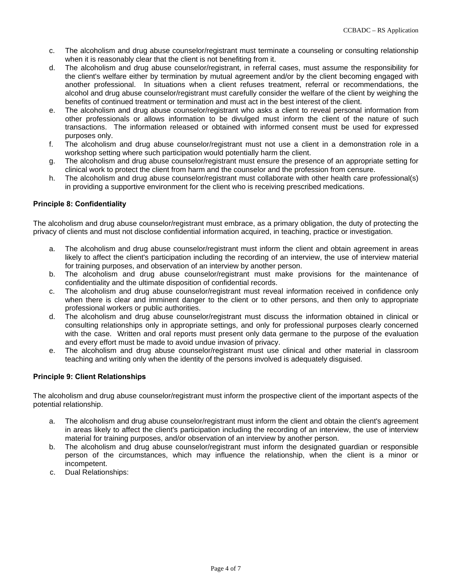- c. The alcoholism and drug abuse counselor/registrant must terminate a counseling or consulting relationship when it is reasonably clear that the client is not benefiting from it.
- d. The alcoholism and drug abuse counselor/registrant, in referral cases, must assume the responsibility for the client's welfare either by termination by mutual agreement and/or by the client becoming engaged with another professional. In situations when a client refuses treatment, referral or recommendations, the alcohol and drug abuse counselor/registrant must carefully consider the welfare of the client by weighing the benefits of continued treatment or termination and must act in the best interest of the client.
- e. The alcoholism and drug abuse counselor/registrant who asks a client to reveal personal information from other professionals or allows information to be divulged must inform the client of the nature of such transactions. The information released or obtained with informed consent must be used for expressed purposes only.
- f. The alcoholism and drug abuse counselor/registrant must not use a client in a demonstration role in a workshop setting where such participation would potentially harm the client.
- g. The alcoholism and drug abuse counselor/registrant must ensure the presence of an appropriate setting for clinical work to protect the client from harm and the counselor and the profession from censure.
- h. The alcoholism and drug abuse counselor/registrant must collaborate with other health care professional(s) in providing a supportive environment for the client who is receiving prescribed medications.

#### **Principle 8: Confidentiality**

The alcoholism and drug abuse counselor/registrant must embrace, as a primary obligation, the duty of protecting the privacy of clients and must not disclose confidential information acquired, in teaching, practice or investigation.

- a. The alcoholism and drug abuse counselor/registrant must inform the client and obtain agreement in areas likely to affect the client's participation including the recording of an interview, the use of interview material for training purposes, and observation of an interview by another person.
- b. The alcoholism and drug abuse counselor/registrant must make provisions for the maintenance of confidentiality and the ultimate disposition of confidential records.
- c. The alcoholism and drug abuse counselor/registrant must reveal information received in confidence only when there is clear and imminent danger to the client or to other persons, and then only to appropriate professional workers or public authorities.
- d. The alcoholism and drug abuse counselor/registrant must discuss the information obtained in clinical or consulting relationships only in appropriate settings, and only for professional purposes clearly concerned with the case. Written and oral reports must present only data germane to the purpose of the evaluation and every effort must be made to avoid undue invasion of privacy.
- e. The alcoholism and drug abuse counselor/registrant must use clinical and other material in classroom teaching and writing only when the identity of the persons involved is adequately disguised.

#### **Principle 9: Client Relationships**

The alcoholism and drug abuse counselor/registrant must inform the prospective client of the important aspects of the potential relationship.

- a. The alcoholism and drug abuse counselor/registrant must inform the client and obtain the client's agreement in areas likely to affect the client's participation including the recording of an interview, the use of interview material for training purposes, and/or observation of an interview by another person.
- b. The alcoholism and drug abuse counselor/registrant must inform the designated guardian or responsible person of the circumstances, which may influence the relationship, when the client is a minor or incompetent.
- c. Dual Relationships: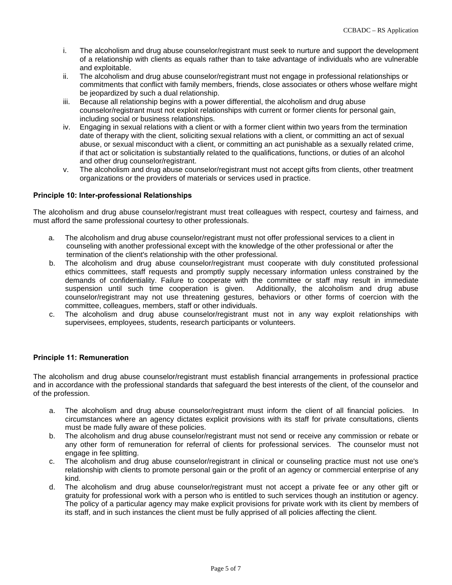- i. The alcoholism and drug abuse counselor/registrant must seek to nurture and support the development of a relationship with clients as equals rather than to take advantage of individuals who are vulnerable and exploitable.
- ii. The alcoholism and drug abuse counselor/registrant must not engage in professional relationships or commitments that conflict with family members, friends, close associates or others whose welfare might be jeopardized by such a dual relationship.
- iii. Because all relationship begins with a power differential, the alcoholism and drug abuse counselor/registrant must not exploit relationships with current or former clients for personal gain, including social or business relationships.
- iv. Engaging in sexual relations with a client or with a former client within two years from the termination date of therapy with the client, soliciting sexual relations with a client, or committing an act of sexual abuse, or sexual misconduct with a client, or committing an act punishable as a sexually related crime, if that act or solicitation is substantially related to the qualifications, functions, or duties of an alcohol and other drug counselor/registrant.
- v. The alcoholism and drug abuse counselor/registrant must not accept gifts from clients, other treatment organizations or the providers of materials or services used in practice.

#### **Principle 10: Inter-professional Relationships**

The alcoholism and drug abuse counselor/registrant must treat colleagues with respect, courtesy and fairness, and must afford the same professional courtesy to other professionals.

- a. The alcoholism and drug abuse counselor/registrant must not offer professional services to a client in counseling with another professional except with the knowledge of the other professional or after the termination of the client's relationship with the other professional.
- b. The alcoholism and drug abuse counselor/registrant must cooperate with duly constituted professional ethics committees, staff requests and promptly supply necessary information unless constrained by the demands of confidentiality. Failure to cooperate with the committee or staff may result in immediate suspension until such time cooperation is given. Additionally, the alcoholism and drug abuse counselor/registrant may not use threatening gestures, behaviors or other forms of coercion with the committee, colleagues, members, staff or other individuals.
- c. The alcoholism and drug abuse counselor/registrant must not in any way exploit relationships with supervisees, employees, students, research participants or volunteers.

#### **Principle 11: Remuneration**

The alcoholism and drug abuse counselor/registrant must establish financial arrangements in professional practice and in accordance with the professional standards that safeguard the best interests of the client, of the counselor and of the profession.

- a. The alcoholism and drug abuse counselor/registrant must inform the client of all financial policies. In circumstances where an agency dictates explicit provisions with its staff for private consultations, clients must be made fully aware of these policies.
- b. The alcoholism and drug abuse counselor/registrant must not send or receive any commission or rebate or any other form of remuneration for referral of clients for professional services. The counselor must not engage in fee splitting.
- c. The alcoholism and drug abuse counselor/registrant in clinical or counseling practice must not use one's relationship with clients to promote personal gain or the profit of an agency or commercial enterprise of any kind.
- d. The alcoholism and drug abuse counselor/registrant must not accept a private fee or any other gift or gratuity for professional work with a person who is entitled to such services though an institution or agency. The policy of a particular agency may make explicit provisions for private work with its client by members of its staff, and in such instances the client must be fully apprised of all policies affecting the client.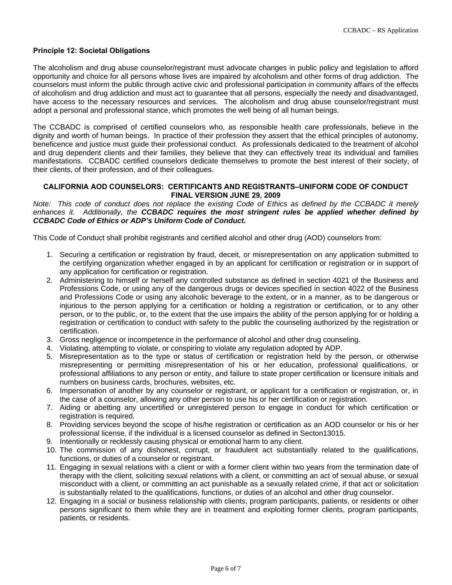#### **Principle 12: Societal Obligations**

The alcoholism and drug abuse counselor/registrant must advocate changes in public policy and legislation to afford opportunity and choice for all persons whose lives are impaired by alcoholism and other forms of drug addiction. The counselors must inform the public through active civic and professional participation in community affairs of the effects of alcoholism and drug addiction and must act to guarantee that all persons, especially the needy and disadvantaged, have access to the necessary resources and services. The alcoholism and drug abuse counselor/registrant must adopt a personal and professional stance, which promotes the well being of all human beings.

The CCBADC is comprised of certified counselors who, as responsible health care professionals, believe in the dignity and worth of human beings. In practice of their profession they assert that the ethical principles of autonomy, beneficence and justice must guide their professional conduct. As professionals dedicated to the treatment of alcohol and drug dependent clients and their families, they believe that they can effectively treat its individual and families manifestations. CCBADC certified counselors dedicate themselves to promote the best interest of their society, of their clients, of their profession, and of their colleagues.

#### **CALIFORNIA AOD COUNSELORS: CERTIFICANTS AND REGISTRANTS–UNIFORM CODE OF CONDUCT FINAL VERSION JUNE 29, 2009**

*Note: This code of conduct does not replace the existing Code of Ethics as defined by the CCBADC it merely enhances it. Additionally, the CCBADC requires the most stringent rules be applied whether defined by CCBADC Code of Ethics or ADP's Uniform Code of Conduct.* 

This Code of Conduct shall prohibit registrants and certified alcohol and other drug (AOD) counselors from:

- 1. Securing a certification or registration by fraud, deceit, or misrepresentation on any application submitted to the certifying organization whether engaged in by an applicant for certification or registration or in support of any application for certification or registration.
- 2. Administering to himself or herself any controlled substance as defined in section 4021 of the Business and Professions Code, or using any of the dangerous drugs or devices specified in section 4022 of the Business and Professions Code or using any alcoholic beverage to the extent, or in a manner, as to be dangerous or injurious to the person applying for a certification or holding a registration or certification, or to any other person, or to the public, or, to the extent that the use impairs the ability of the person applying for or holding a registration or certification to conduct with safety to the public the counseling authorized by the registration or certification.
- 3. Gross negligence or incompetence in the performance of alcohol and other drug counseling.
- 4. Violating, attempting to violate, or conspiring to violate any regulation adopted by ADP.
- 5. Misrepresentation as to the type or status of certification or registration held by the person, or otherwise misrepresenting or permitting misrepresentation of his or her education, professional qualifications, or professional affiliations to any person or entity, and failure to state proper certification or licensure initials and numbers on business cards, brochures, websites, etc.
- 6. Impersonation of another by any counselor or registrant, or applicant for a certification or registration, or, in the case of a counselor, allowing any other person to use his or her certification or registration.
- 7. Aiding or abetting any uncertified or unregistered person to engage in conduct for which certification or registration is required.
- 8. Providing services beyond the scope of his/he registration or certification as an AOD counselor or his or her professional license, if the individual is a licensed counselor as defined in Secton13015.
- 9. Intentionally or recklessly causing physical or emotional harm to any client.
- 10. The commission of any dishonest, corrupt, or fraudulent act substantially related to the qualifications, functions, or duties of a counselor or registrant.
- 11. Engaging in sexual relations with a client or with a former client within two years from the termination date of therapy with the client, soliciting sexual relations with a client, or committing an act of sexual abuse, or sexual misconduct with a client, or committing an act punishable as a sexually related crime, if that act or solicitation is substantially related to the qualifications, functions, or duties of an alcohol and other drug counselor.
- 12. Engaging in a social or business relationship with clients, program participants, patients, or residents or other persons significant to them while they are in treatment and exploiting former clients, program participants, patients, or residents.